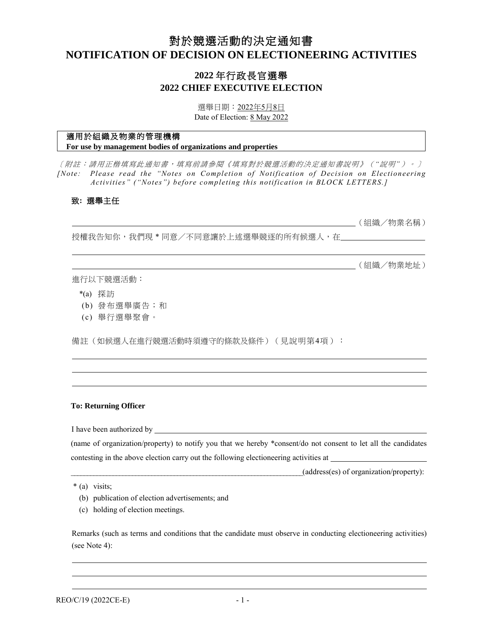# 對於競選活動的決定通知書 **NOTIFICATION OF DECISION ON ELECTIONEERING ACTIVITIES**

## **2022** 年行政長官選舉 **2022 CHIEF EXECUTIVE ELECTION**

選舉日期:2022年5月8日 Date of Election: 8 May 2022

## 適用於組織及物業的管理機構

**For use by management bodies of organizations and properties**

[附註:請用正楷填寫此通知書,填寫前請參閱《填寫對於競選活動的決定通知書說明》(*"*說明*"*)。] *[Note: Please read the "Notes on Completion of Notification of Decision on Electioneering Activities" ("Notes") before completing this notification in BLOCK LETTERS.]*

## 致**:** 選舉主任

(組織/物業名稱)

授權我告知你,我們現 \* 同意/不同意讓於上述選舉競逐的所有候選人,在

(組織/物業地址)

進行以下競選活動:

- \*(a) 探訪
- (b) 發布選舉廣告;和
- (c) 舉行選舉聚會。

備註(如候選人在進行競選活動時須遵守的條款及條件)(見說明第4項):

#### **To: Returning Officer**

I have been authorized by

(name of organization/property) to notify you that we hereby \*consent/do not consent to let all the candidates contesting in the above election carry out the following electioneering activities at

 $(address(es)$  of organization/property):

\* (a) visits;

- (b) publication of election advertisements; and
- (c) holding of election meetings.

Remarks (such as terms and conditions that the candidate must observe in conducting electioneering activities) (see Note 4):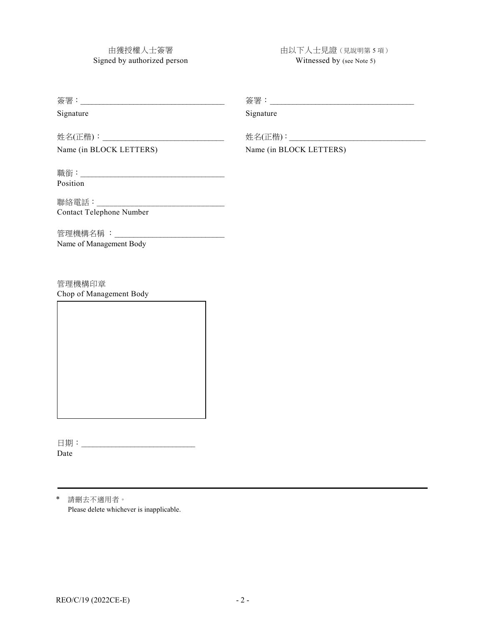由獲授權人士簽署 Signed by authorized person 由以下人士見證(見說明第 5 項) Witnessed by (see Note 5)

| Signature                | Signature               |  |
|--------------------------|-------------------------|--|
|                          |                         |  |
| Name (in BLOCK LETTERS)  | Name (in BLOCK LETTERS) |  |
|                          |                         |  |
| Position                 |                         |  |
|                          |                         |  |
| Contact Telephone Number |                         |  |
|                          |                         |  |
| Name of Management Body  |                         |  |
|                          |                         |  |
|                          |                         |  |

管理機構印章 Chop of Management Body

日期:\_\_\_\_\_\_\_\_\_\_\_\_\_\_\_\_\_\_\_\_\_\_\_\_\_\_\_\_\_\_ Date

\* 請刪去不適用者。 Please delete whichever is inapplicable.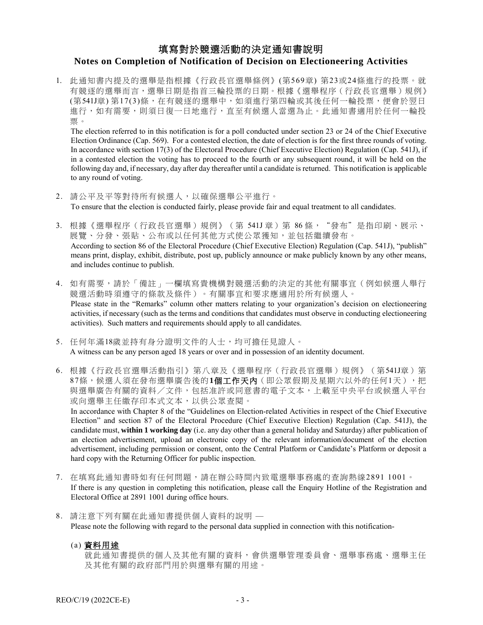## 填寫對於競選活動的決定通知書說明 **Notes on Completion of Notification of Decision on Electioneering Activities**

1. 此通知書內提及的選舉是指根據《行政長官選舉條例》(第569章) 第23或24條進行的投票。就 有競逐的選舉而言,選舉日期是指首三輪投票的日期。根據《選舉程序(行政長官選舉)規例》 (第541J章) 第17(3)條,在有競逐的選舉中,如須進行第四輪或其後任何一輪投票,便會於翌日 進行,如有需要,則須日復一日地進行,直至有候選人當選為止。此通知書適用於任何一輪投 票。

The election referred to in this notification is for a poll conducted under section 23 or 24 of the Chief Executive Election Ordinance (Cap. 569). For a contested election, the date of election is for the first three rounds of voting. In accordance with section 17(3) of the Electoral Procedure (Chief Executive Election) Regulation (Cap. 541J), if in a contested election the voting has to proceed to the fourth or any subsequent round, it will be held on the following day and, if necessary, day after day thereafter until a candidate is returned. This notification is applicable to any round of voting.

- 2. 請公平及平等對待所有候選人,以確保選舉公平進行。 To ensure that the election is conducted fairly, please provide fair and equal treatment to all candidates.
- 3. 根據《選舉程序(行政長官選舉)規例》(第 541J章)第 86條, "發布"是指印刷、展示、 展覽、分發、張貼、公布或以任何其他方式使公眾獲知,並包括繼續發布。 According to section 86 of the Electoral Procedure (Chief Executive Election) Regulation (Cap. 541J), "publish" means print, display, exhibit, distribute, post up, publicly announce or make publicly known by any other means, and includes continue to publish.
- 4. 如有需要,請於「備註」一欄填寫貴機構對競選活動的決定的其他有關事宜(例如候選人舉行 競選活動時須遵守的條款及條件)。有關事宜和要求應適用於所有候選人。 Please state in the "Remarks" column other matters relating to your organization's decision on electioneering activities, if necessary (such as the terms and conditions that candidates must observe in conducting electioneering activities). Such matters and requirements should apply to all candidates.
- 5. 任何年滿18歲並持有身分證明文件的人士,均可擔任見證人。 A witness can be any person aged 18 years or over and in possession of an identity document.
- 6. 根據《行政長官選舉活動指引》第八章及《選舉程序(行政長官選舉)規例》(第541J章)第 87條,候選人須在發布選舉廣告後的**1**個工作天內(即公眾假期及星期六以外的任何1天),把 與選舉廣告有關的資料/文件,包括准許或同意書的電子文本,上載至中央平台或候選人平台 或向選舉主任繳存印本式文本,以供公眾查閱。

In accordance with Chapter 8 of the "Guidelines on Election-related Activities in respect of the Chief Executive Election" and section 87 of the Electoral Procedure (Chief Executive Election) Regulation (Cap. 541J), the candidate must, **within 1 working day** (i.e. any day other than a general holiday and Saturday) after publication of an election advertisement, upload an electronic copy of the relevant information/document of the election advertisement, including permission or consent, onto the Central Platform or Candidate's Platform or deposit a hard copy with the Returning Officer for public inspection.

- 7. 在填寫此通知書時如有任何問題,請在辦公時間內致電選舉事務處的查詢熱線2891 1001。 If there is any question in completing this notification, please call the Enquiry Hotline of the Registration and Electoral Office at 2891 1001 during office hours.
- 8. 請注意下列有關在此通知書提供個人資料的說明 Please note the following with regard to the personal data supplied in connection with this notification-
	- (a) 資料用途

就此通知書提供的個人及其他有關的資料,會供選舉管理委員會、選舉事務處、選舉主任 及其他有關的政府部門用於與選舉有關的用途。